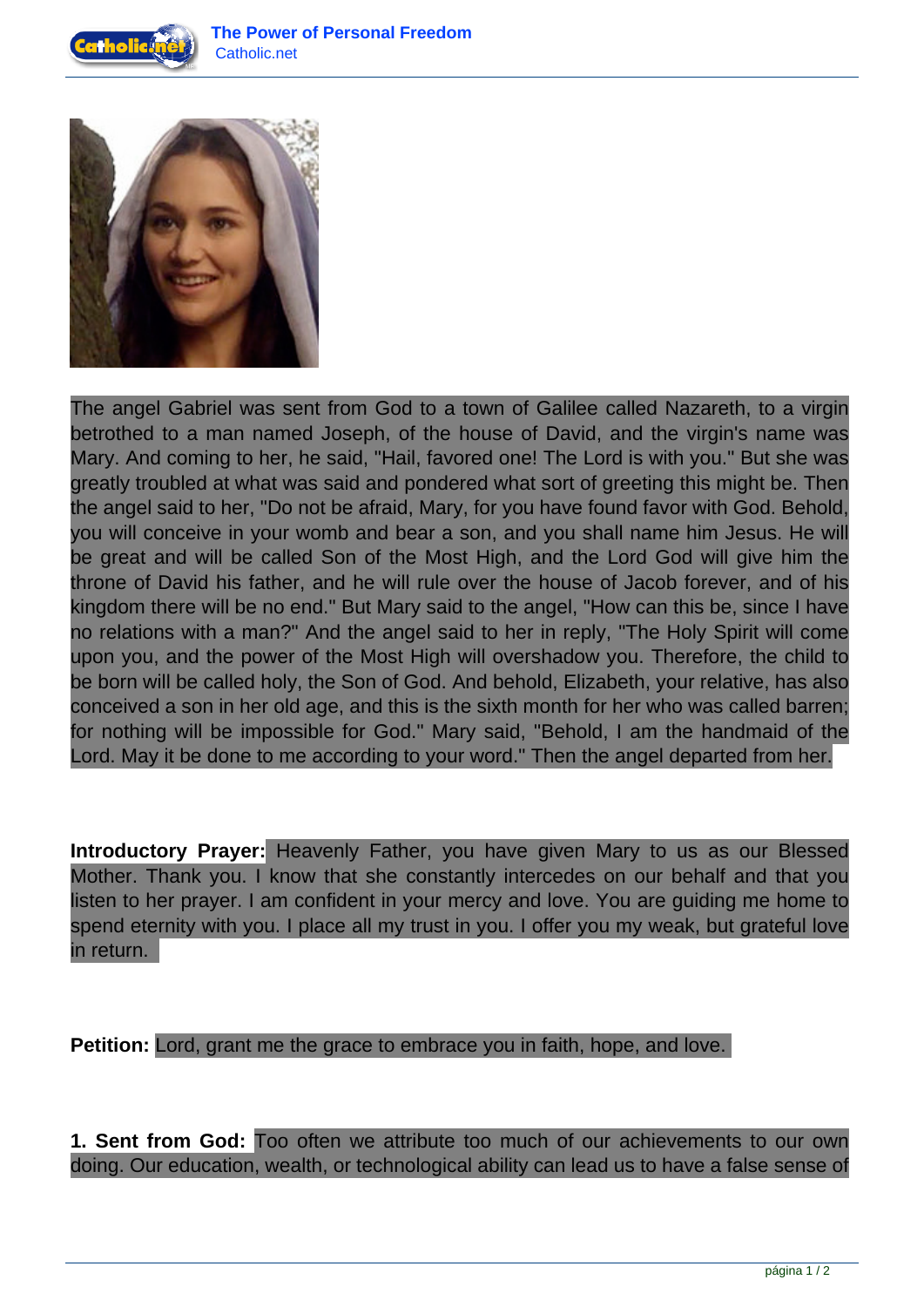



The angel Gabriel was sent from God to a town of Galilee called Nazareth, to a virgin betrothed to a man named Joseph, of the house of David, and the virgin's name was Mary. And coming to her, he said, "Hail, favored one! The Lord is with you." But she was greatly troubled at what was said and pondered what sort of greeting this might be. Then the angel said to her, "Do not be afraid, Mary, for you have found favor with God. Behold, you will conceive in your womb and bear a son, and you shall name him Jesus. He will be great and will be called Son of the Most High, and the Lord God will give him the throne of David his father, and he will rule over the house of Jacob forever, and of his kingdom there will be no end." But Mary said to the angel, "How can this be, since I have no relations with a man?" And the angel said to her in reply, "The Holy Spirit will come upon you, and the power of the Most High will overshadow you. Therefore, the child to be born will be called holy, the Son of God. And behold, Elizabeth, your relative, has also conceived a son in her old age, and this is the sixth month for her who was called barren; for nothing will be impossible for God." Mary said, "Behold, I am the handmaid of the Lord. May it be done to me according to your word." Then the angel departed from her.

**Introductory Prayer:** Heavenly Father, you have given Mary to us as our Blessed Mother. Thank you. I know that she constantly intercedes on our behalf and that you listen to her prayer. I am confident in your mercy and love. You are guiding me home to spend eternity with you. I place all my trust in you. I offer you my weak, but grateful love in return.

**Petition:** Lord, grant me the grace to embrace you in faith, hope, and love.

**1. Sent from God:** Too often we attribute too much of our achievements to our own doing. Our education, wealth, or technological ability can lead us to have a false sense of